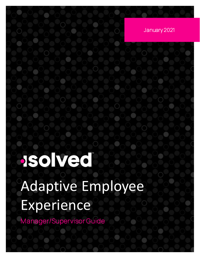January 2021

# **Isolved**

# Adaptive Employee Experience

Manager/Supervisor Guide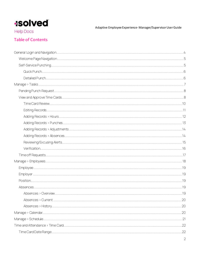Adaptive Employee Experience-Manager/Supervisor User Guide

**Help Docs** 

#### **Table of Contents**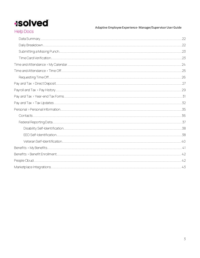### **Isolved Help Docs**

Adaptive Employee Experience-Manager/Supervisor User Guide

<span id="page-2-0"></span>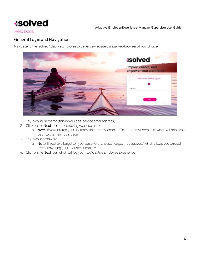

**Help Docs** 

#### General Login and Navigation

Navigate to the isolved Adaptive Employee Experience website using a web browser of your choice.



- 1. Key in your username (this is your self-service email address)
- 2. Click on the Next icon after entering your username
	- a. Note: If you entered your username incorrectly, choose "This is not my username" which will bring you back to the main login page.
- 3. Key in your password
	- a. Note: If you have forgotten your password, choose "Forgot my password" which allows you to reset after answering your security questions.
- 4. Click on the Next icon which will log you into Adaptive Employee Experience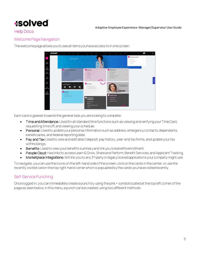

#### **Help Docs**

#### <span id="page-4-0"></span>Welcome Page Navigation

The welcome page allows you to see all items you have access to in one screen.

| <b>Isolved</b>                                           |                                                                                  |                                                                                                                                             | <b>CONTRACTOR</b>                                                                                    |                                                          | œ | o |
|----------------------------------------------------------|----------------------------------------------------------------------------------|---------------------------------------------------------------------------------------------------------------------------------------------|------------------------------------------------------------------------------------------------------|----------------------------------------------------------|---|---|
| A,<br>Ø)                                                 | пайскам                                                                          |                                                                                                                                             |                                                                                                      | C nesently stated<br>Testian.<br>PATINGAL<br>Award (201) |   |   |
| $-44$<br>--<br>$\alpha$<br><b>Figured Tra</b><br>4       | <b>Tourist Discounts</b><br><b>PERSONALISTS</b><br>-<br>--<br>--                 | <b>Q</b> www.<br><b>Seattle</b><br><b>STATISTICS</b><br><b>Service</b><br><b>Dental</b>                                                     | <b>D</b> Present Tex<br><b>Seattle Service</b><br>THE RIGHTS<br><b>The AVE Science</b><br>The Solemn | <b>Contract Contract Contract</b>                        |   |   |
| $\overline{\phantom{a}}$<br>یک<br>$\left  \cdot \right $ | <b>INVACT ATT: IS</b><br>п<br>ø<br>in.<br>7<br><b>O</b> hours<br><b>ALCOHOL:</b> | $\cup$<br><b>O</b> Fernand<br>Personal administrator<br>(Important                                                                          | <b>Included week</b><br><b>Isolved</b>                                                               |                                                          |   |   |
|                                                          | <b>Search Comment</b>                                                            | <b>O</b> Merketplace<br><b>Integrations</b><br><b>Service College</b><br><b>Service</b><br><b>Dalfus Division Sherrow</b><br><b>Service</b> | <b>O</b> Preside Closel<br><b>Bestings</b><br><b>CONTRACTOR</b><br><b>Analysis Triange</b>           |                                                          |   |   |

Each card is geared towards the general task you are looking to complete:

- Time and Attendance: Used for all standard time functions such as viewing and verifying your Time Card, requesting time off, and viewing your schedule.
- Personal: Used to update your personal information such as address, emergency contacts, dependents, beneficiaries, and federal reporting data.
- Pay and Tax: Used to view and edit direct deposit, pay history, year-end tax forms, and update your tax withholdings.
- Benefits: Used to view your benefits summary and link you to benefits enrollment.
- People Cloud: Has links to access Learn & Grow, Share and Perform, Benefit Services, and Applicant Tracking.
- Marketplace Integrations: Will link you to any 3<sup>rd</sup> party or legacy isolved applications your company might use.

To navigate, you can use the icons on the left-hand side of the screen, click on the cards in the center, or use the recently visited card in the top right-hand corner which is populated by the cards you have visited recently.

#### <span id="page-4-1"></span>Self-Service Punching

Once logged in, you can immediately create a punch by using the pink + symbol locatedat the top left cornerof the page as seen below. In this menu, a punch can be created usingtwo different methods: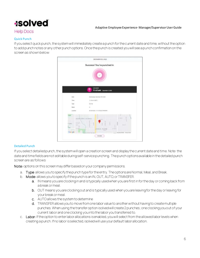#### Adaptive Employee Experience- Manager/Supervisor User Guide

#### **Help Docs**

#### <span id="page-5-0"></span>Quick Punch

If you select quick punch, the system will immediately create a punch for the current date and time, without the option to add punch notes or any other punch options. Once the punch is created you will see a punch confirmation on the screen as shown below:



#### <span id="page-5-1"></span>Detailed Punch

If you select detailed punch, the system will open a creation screen and display the current date and time. Note: the date and time fields are not editable during self-service punching. The punch options available in the detailed punch screen are as follows:

Note: options on this screen may differ based on your company permissions.

- a. Type: allows you to specify the punch type for the entry. The options are Normal, Meal, and Break.
- b. Mode: allows you to specify if the punch is an IN, OUT, AUTO, or TRANSFER.
	- a. IN means you are clocking in and is typically used when you are first in for the day or coming back from a break or meal.
	- b. OUT means you are clocking out and is typically used when you are leaving for the day or leaving for your break or meal.
	- c. AUTO allows the system to determine
	- d. TRANSFER allows you to move from one labor value to another without having to create multiple punches. When using the transfer option isolved will create 2 punches; one clocking you out of your current labor and one clocking you into the labor you transferred to.
- c. Labor: If the option to enter labor allocations is enabled, you will select from the allowed labor levels when creating a punch. If no labor is selected, isolved will use your default labor allocation.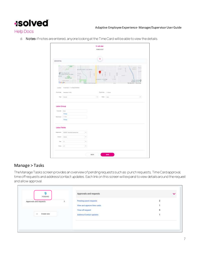

**Help Docs** 

d. Notes: If notes are entered, anyone looking at the Time Card will be able to view the details.

| ADD DETAIL       |                                                                                                                                    |                                   | 霜                                        |                                                                            |
|------------------|------------------------------------------------------------------------------------------------------------------------------------|-----------------------------------|------------------------------------------|----------------------------------------------------------------------------|
| Google           | <b>Curt</b><br><b>C</b> The Charles of Lamer<br><b>Automatical</b><br>$10 - 10$<br>ANS AND<br><b><i><u>Electron Season</u></i></b> | ANNEDAN ACRES<br><b>MALLASTER</b> | <b>JONES FANM</b><br><b>SC</b> expect of | p-and-1<br>SIMPLAPING<br>n,<br>Middle School<br>Max des COCOT. Temp stolen |
|                  | Laugher 40 SCRAW PH STEELTRENGER                                                                                                   |                                   | Fund (Inc., 1145am)                      |                                                                            |
|                  |                                                                                                                                    |                                   |                                          |                                                                            |
|                  | Norsh Alley Deserted N. 8222<br>Test - Garrett                                                                                     |                                   | <b>Now Live</b><br>i al                  | SW.                                                                        |
|                  |                                                                                                                                    |                                   |                                          |                                                                            |
| Labor Group      |                                                                                                                                    |                                   |                                          |                                                                            |
| Doppens'.        | 1 Honda<br><b>Chairps</b>                                                                                                          |                                   |                                          |                                                                            |
| Electronic       | <b>Park</b><br>$+110$                                                                                                              |                                   |                                          |                                                                            |
|                  | Days:                                                                                                                              |                                   |                                          |                                                                            |
| Labor Fleids     |                                                                                                                                    |                                   |                                          |                                                                            |
| <b>Distances</b> | 40000 - Extras Independ-                                                                                                           | iw.                               |                                          |                                                                            |
|                  | Drawn - Seven                                                                                                                      | iw.                               |                                          |                                                                            |
| Tel:             | 1001                                                                                                                               | ow.                               |                                          |                                                                            |

#### <span id="page-6-0"></span>Manage > Tasks

The Manage Tasks screen provides an overview of pending requests such as: punch requests, Time Cardapproval, time off requests and address/contact updates. Each link on this screen will expand to view details around the request and allow approval.

| PENDING                |                                                             |   |
|------------------------|-------------------------------------------------------------|---|
| Approvais and requests | Pending punch requests<br>$\overline{\theta}$               |   |
|                        | View and approve time cards                                 |   |
|                        | Time off request                                            | 5 |
| Create new             | Address/Contact updates<br>1위 아이는 아이들은 아이들의 사람들은 손을 가지고 있다. |   |
|                        |                                                             |   |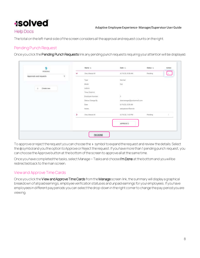#### **Help Docs**

Thetotal on the left-hand side of the screen considersall the approval and request counts on the right.

#### <span id="page-7-0"></span>Pending Punch Request

Once you click the Pending Punch Requests link any pending punch requests requiring your attention will be displayed.

| 9                                                                                             |   | Name to                 | Date 11                          | Status 11 | Action |
|-----------------------------------------------------------------------------------------------|---|-------------------------|----------------------------------|-----------|--------|
| PENDING                                                                                       | v | Doe, Mason M.           | 6/19/20, 8:38 AM                 | Periding: | E.     |
| Approvals and requests                                                                        | 9 | Type <sup>1</sup>       | Normal                           |           |        |
|                                                                                               |   | Mode                    | 0 <sub>0</sub>                   |           |        |
| $\frac{1}{2} \frac{1}{2} \left( \frac{1}{2} \right) \left( \frac{1}{2} \right)$<br>Create new |   | NGCH<br>Labora          |                                  |           |        |
|                                                                                               |   | Time Clock ld           |                                  |           |        |
|                                                                                               |   | Employee Number         | $\hat{\boldsymbol{z}}$           |           |        |
|                                                                                               |   | <b>Status Change By</b> | doemanager@protonmail.com        |           |        |
|                                                                                               |   | Date                    | 6/19/20, 8:38 AM                 |           |        |
|                                                                                               |   | Notes                   | aebgabrewrfbewrbr                |           |        |
|                                                                                               | X | Doe, Mason M.           | 6/19/20 1:43 PM                  | Pending   |        |
|                                                                                               |   |                         | <b>AVEC INVIA-D</b><br>APPROVE 2 |           |        |
|                                                                                               |   |                         |                                  |           |        |
|                                                                                               |   | I'M DONE                |                                  |           |        |

To approve or reject the request you can choose the > symbol to expand the request and review the details. Select the **n** symbol and you the option to Approve or Reject the request. If you have more than 1 pending punch request, you can choose the Approve button at the bottom of the screen to approve all at the same time.

Once you have completed the tasks, select Manage > Tasks and choose I'm Done at the bottom and you will be redirected back to the main screen.

#### <span id="page-7-1"></span>View and Approve Time Cards

Once you click the View and Approve Time Cards from the Manage screen link, the summary will display a graphical breakdown of all paid earnings, employee verification statuses and unpaid earnings for your employees. If you have employees in different pay periods you can selectthe drop-down in the right corner to change the pay periodyou are viewing.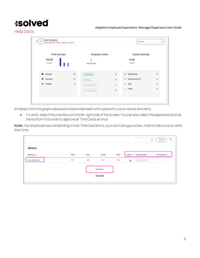Adaptive Employee Experience- Manager/Supervisor User Guide

**Help Docs** 

| Paid earnings             |                     | <b>Employee status</b> |              |   | Unpaid earnings |            |
|---------------------------|---------------------|------------------------|--------------|---|-----------------|------------|
| 35.00                     |                     | ۹                      |              |   | 0.00            |            |
| hours                     |                     | employees<br>D1 26     |              |   | hours:          |            |
|                           |                     |                        |              |   |                 |            |
| Regular                   | 18                  | <b>APPROVED</b>        | $\mathbf{0}$ |   | Meal/break      | 0          |
| Vacation                  | 8                   | <b>PARTIAL</b>         | o.           |   | Unpaid time off | $\mbox{0}$ |
| Holiday<br><b>WEDNESD</b> | $\ddot{\mathbf{5}}$ | NOT APPROVED           | $\mathbf{1}$ |   | Sick            | 0          |
|                           |                     | NOT REQUIRED:          | ö            | ۰ | Other           | $\bf{0}$   |

All details from the graphs above are listed underneath with a place for you to review and verify.

• To verify, select the checkbox on the far-right side of the screen. You can also select the approve button at the bottom if you wish to approve all Time Cards at once.

Note: If an employee has outstanding critical Time Card errors, such as missing punches, it will not allow you to verify their time.

| Weekly          |       |      |                   |       |           |                 |                      |
|-----------------|-------|------|-------------------|-------|-----------|-----------------|----------------------|
| Employee 11     | Total | Paid | Unpaid<br>919.TUR | Adj S | Alerta iu | Timecard status | Your approval to     |
| Doe, Supervisor | 0.00  | 0.00 | 0.00              | 0.00  | Δ         | SUIT APPROVED.  | $\qquad \qquad \Box$ |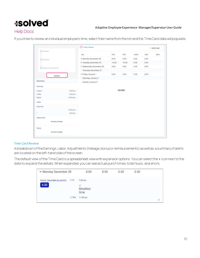#### Adaptive Employee Experience- Manager/Supervisor User Guide

#### **Help Docs**

If you'd like to review an individual employee's time, select their name from the list and the Time Card data will populate.

| C Drainese                 |                    | (CJ) Carlos Jehnson     |             |          |               |       | + CREATE NEW |
|----------------------------|--------------------|-------------------------|-------------|----------|---------------|-------|--------------|
|                            |                    | Day                     | Total       | Paid     | <b>Wipeld</b> | 海南市   | Alerta       |
| $2$ faunces                |                    | > Monday December 28    | 8.00        | 8.00     | 0.00          | 0.00. |              |
|                            |                    | > Tuesday December 29   | 10.00       | 10.00    | 0.00          | 0.00. |              |
| Warning for your approval. |                    | > Wednesday December 30 | <b>B.OD</b> | 8.00     | $0.00 -$      | 0.00  |              |
|                            |                    | Thursday December 31    |             |          |               |       |              |
|                            |                    | > Friday January 1      | 8.00        | 8.00     | 0.00          | 0.00  |              |
| APPROVE.                   |                    | Saturday January 2      |             |          |               |       |              |
| <b>Summary</b>             |                    | Sunday January 3        |             |          |               |       |              |
| Eamings                    |                    |                         |             |          |               |       |              |
| Venitian                   | <b>EB</b> harr     |                         |             | I'M DONE |               |       |              |
| Philippy                   | EOS Bears          |                         |             |          |               |       |              |
| Repúer                     | 10.05 kpcm         |                         |             |          |               |       |              |
| Labor                      |                    |                         |             |          |               |       |              |
| Department                 |                    |                         |             |          |               |       |              |
|                            | 30/30 Fours        |                         |             |          |               |       |              |
| $\mathsf T$<br>ю           | 4.00 ks are        |                         |             |          |               |       |              |
| Adjustment                 |                    |                         |             |          |               |       |              |
| No data to drupiny         |                    |                         |             |          |               |       |              |
| Alerts:                    |                    |                         |             |          |               |       |              |
| 20m                        | No date to display |                         |             |          |               |       |              |

#### <span id="page-9-0"></span>Time Card Review

A breakdown of the Earnings, Labor, Adjustments (mileage, bonus or reimbursements) as well as a summary of alerts are located on the left-hand side of the screen.

The default view of the Time Card is a spreadsheet view with expansion options. You can select the > icon next to the date to expand the details. When expanded, you can see actual punch times, total hours, and errors.

| Monday December 28                         |        | 8.00                             | 8.00 | 0.00 | 0.00 |  |
|--------------------------------------------|--------|----------------------------------|------|------|------|--|
| Hours (recorded as punch)<br>4.00<br>_____ | $C$ in | 7:00 am<br>ø<br>Modified<br>time |      |      |      |  |
|                                            | C Out  | 11:00 am                         |      |      |      |  |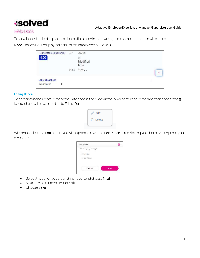#### Adaptive Employee Experience- Manager/Supervisor User Guide

#### **Help Docs**

To view labor attached to punches choose the > icon in the lower right corner and the screen will expand.

Note: Labor will only display if outside of the employee's home value.

| Hours (recorded as punch)                             | Cin   | 7:00 am               |     |                      |
|-------------------------------------------------------|-------|-----------------------|-----|----------------------|
| 4.00                                                  |       | ò<br>Modified<br>time |     |                      |
|                                                       | C Out | 11:00 am              |     | $\ddot{\phantom{0}}$ |
| <b>Labor allocations</b><br><b>SALE</b><br>Department |       |                       | li. |                      |

#### <span id="page-10-0"></span>Editing Records

To edit an existing record, expand the date choose the  $\rightarrow$  icon in the lower right-hand corner and then choose the n icon and you will have an option to Edit or Delete

| Edit   |  |
|--------|--|
| Delete |  |
|        |  |

When you select the Edit option, you will be prompted with an Edit Punch screen letting you choose which punch you are editing

| NEXT |
|------|
|      |

- Select the punch you are wishing to edit and choose Next
- Make any adjustments you see fit
- Choose Save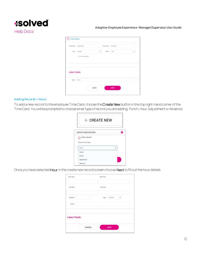

| Punch date                  | <b>GONDERS</b>   |   | Pincik blue | <b>IST OR ARE</b> |  |
|-----------------------------|------------------|---|-------------|-------------------|--|
| Tist                        | morred.          | × | 1666        | Fem.              |  |
|                             | <b>Directory</b> |   |             |                   |  |
|                             |                  |   |             |                   |  |
| Labor Fields<br>Haisi<br>사건 | <b>TOTAL</b>     |   |             |                   |  |

#### <span id="page-11-0"></span>Adding Records > Hours

To add a new record to the employee Time Card, choose the Create New button in the top right-hand corner of the Time Card. You will be prompted to choose what type of record you are adding; Punch, Hour, Adjustment or Absence.

| + CREATE NEW                                |  |
|---------------------------------------------|--|
| CREATE NEW RECORD                           |  |
| Carlos Johnson<br>(c)<br>Choose record type |  |
| leiact                                      |  |
| Hours                                       |  |
|                                             |  |
| Punch<br>Adjustment                         |  |

Once you have selected Hour in the create new record screen choose Next to fill out the hour details.

| :81art dote                         |               | amit hatti    |        |    |  |
|-------------------------------------|---------------|---------------|--------|----|--|
| Del date                            |               | <b>Define</b> |        |    |  |
| Duration<br>49.01<br>$_{\rm Heiny}$ |               | Type:         | Normal | نه |  |
| Labor Fields                        |               |               |        |    |  |
|                                     | <b>CANCEL</b> |               | SAVE   |    |  |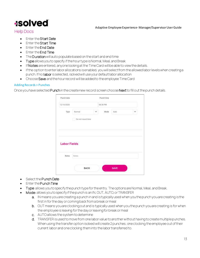#### Adaptive Employee Experience- Manager/Supervisor User Guide

#### **Help Docs**

- Enter the Start Date
- Enter the Start Time
- Enter the End Date
- Enter the End Time
- The Duration will auto populate based on the start and end time
- Type allows you to specify if the hour type is Normal, Meal, and Break
- If Notes are entered, anyone looking at the Time Card will be able to view the details.
- If the option to enter labor allocations is enabled, you will select from the allowed labor levels when creating a punch. If no labor is selected, isolved will use your default labor allocation
- Choose Save and the hour record will be added to the employee Time Card

#### <span id="page-12-0"></span>Adding Records > Punches

Once you have selected Punch in the create new record screen choose Next to fill out the punch details.

| 12/10/2020                   |                             |   | 08:38 PM |      |   |
|------------------------------|-----------------------------|---|----------|------|---|
| Тура                         | Normal<br>Do not round time | Ù | Mode     | Auto | v |
|                              |                             |   |          |      |   |
| <b>Labor Fields</b><br>Notes | Notes                       |   |          |      |   |

- Select the Punch Date
- Enter the Punch Time
- Type: allows you to specify the punch type for the entry. The options are Normal, Meal, and Break.
- Mode: allows you to specify if the punch is an IN, OUT, AUTO, or TRANSFER
	- a. IN means you are creating a punch in and is typically used when you the punch you are creating is the first in for the day or coming back from a break or meal
	- b. OUT means you are clocking out and is typically used when you the punch you are creating is for when the employee is leaving for the day or leaving for break or meal
	- c. AUTO allows the system to determine
	- d. TRANSFER is used tomove from one labor value to another without having to create multiple punches. When using the transfer option isolved will create 2 punches; one clocking the employee out of their current labor and one clocking theminto the labor transferred to.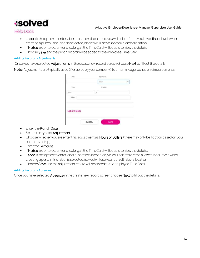#### Adaptive Employee Experience- Manager/Supervisor User Guide

**Help Docs** 

- Labor: If the option to enter labor allocations is enabled, you will select from the allowed labor levels when creating a punch. If no labor is selected, isolved will use your default labor allocation.
- If Notes are entered, anyone looking at the Time Card will be able to view the details
- Choose Save and the punch record will be added to the employee Time Card

#### <span id="page-13-0"></span>Adding Records > Adjustments

Once you have selected Adjustments in the create new record screen choose Next to fill out the details.

Note: Adjustments are typically used (if enabled by your company) to enter mileage, bonus or reimbursements.

| Dide                |        | Adjustment     |   |
|---------------------|--------|----------------|---|
|                     |        | Seien          | w |
| Type                |        | Annun.         |   |
| Solem<br>Ŧ          | X      |                |   |
| Notes               |        |                |   |
| <b>Labor Fields</b> |        |                |   |
|                     | CANCEL | ٠<br>٠<br>SAVE |   |

- Enter the Punch Date
- Select the type of **Adjustment**
- Choose whether you are enter this adjustment as Hours or Dollars (there may only be 1 option based on your company setup)
- Enter the Amount
- If Notes are entered, anyone looking at the Time Card will be able to view the details.
- Labor: If the option to enter labor allocations is enabled, you will select from the allowed labor levels when creating a punch. If no labor is selected, isolved will use your default labor allocation
- Choose Save and the adjustment record will be added to the employee Time Card

#### <span id="page-13-1"></span>Adding Records > Absences

Once you have selected Absence in the create new record screen choose Next to fill out the details.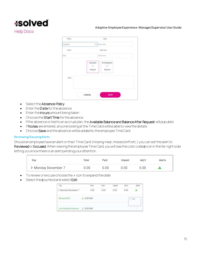### **Isolved Help Docs**

#### Adaptive Employee Experience- Manager/Supervisor User Guide



- Select the Absence Policy
- Enter the Date for the absence
- Enter the Hours amount being taken
- Choose the Start Time for the absence
- If the absence is tied to an accrual plan, the Available Balance and Balance After Request will populate
- If Notes are entered, anyone looking at the Time Card will be able to view the details
- Choose Save and the absence will be added to the employee Time Card

#### <span id="page-14-0"></span>Reviewing/Excusing Alerts

Should an employee have an alert on their Time Card (missing meal, missed shift etc.) you canset the alert to Reviewed or Excused. When viewing the employee Time Card, you will see the color code a icon in the far-right side letting you know there is an alert pending your attention.

| Day                 | Total | Paid | Unpaid | Adi S | Alerts |
|---------------------|-------|------|--------|-------|--------|
| > Monday December 7 | 0.00  | 0.00 | 0.00   | 0.00  |        |

- To review or excuse choose the > icon to expand the date
- Select the a symbol and select Edit

| Day                                         | Total                     | Paid | Umpaid | Adi 5 |                   |
|---------------------------------------------|---------------------------|------|--------|-------|-------------------|
| Monday December 7                           | .<br>0.00<br><b>SPORT</b> | 0.00 | 0.00   | 0.00  |                   |
| Missed Shift<br>The State of Carl Links and | -/\ 8:00 AM               |      |        |       | $\mathcal{J}$ tm. |
| Unscheduled Absence 4, 8:00 AM              |                           |      |        |       |                   |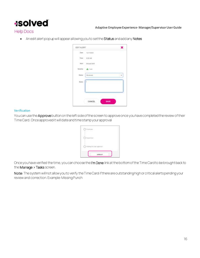

#### **Help Docs**

• An edit alert popup will appear allowing you to set the Status and add any Notes

| <b>EDIT ALERT</b> |                        |      |
|-------------------|------------------------|------|
|                   | 12/7/2020              |      |
|                   | Time $0.001 \text{AM}$ |      |
|                   | Airrt Missed Stuh      |      |
|                   | Severity A Low         |      |
| Status            | Reviewed               |      |
| Notes             |                        |      |
|                   |                        |      |
|                   | CANCEL                 | SAVE |

#### <span id="page-15-0"></span>Verification

You can use the Approve button on the left side of the screen to approve once you have completed the review of their Time Card. Once approved it will date and time stamp your approval

| <b>Standard</b><br>neemand  |  |                        |  |  |
|-----------------------------|--|------------------------|--|--|
| Separate                    |  |                        |  |  |
| O watting for your approval |  |                        |  |  |
|                             |  | あなじゅうちょくし<br>APPROUT - |  |  |

Once you have verified the time, you can choose the I'm Done link at the bottom of the Time Card to be brought back to the Manage > Tasks screen.

Note: The system will not allow you to verify the Time Card if there are outstanding high or critical alerts pending your review and correction. Example: Missing Punch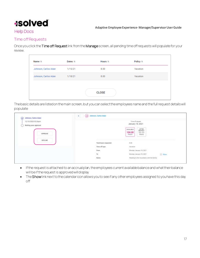#### Adaptive Employee Experience- Manager/Supervisor User Guide

#### **Help Docs**

#### <span id="page-16-0"></span>Time off Requests

Once you click the Time off Request link from the Manage screen, all pending time off requests will populate for your review.

| Dates 11 | Hours 11 | Policy 11    |  |
|----------|----------|--------------|--|
| 1/15/21  | 8.00     | Vacation     |  |
| 1/18/21  | 8.00     | Vacation     |  |
|          |          |              |  |
|          |          |              |  |
|          |          | <b>CLOSE</b> |  |

The basic details are listed on the main screen, but you can select the employees name and the full request details will populate

| 12/10/2020 93:26pm    |                                                                              | Time off request.                                                                                                                                           |             |
|-----------------------|------------------------------------------------------------------------------|-------------------------------------------------------------------------------------------------------------------------------------------------------------|-------------|
| Waiting your approval |                                                                              | January 18, 2021                                                                                                                                            |             |
| APPROVE               |                                                                              | AFTER<br>REQUEST<br><b>AVAILABLE</b><br>96.00<br>104.00<br>Hours<br>Hours                                                                                   |             |
| <b>DECLINE</b>        | Tutal hours requested.                                                       | $00 -$                                                                                                                                                      |             |
|                       | Time off type                                                                | Vecanine                                                                                                                                                    |             |
|                       |                                                                              | Monday January 18, 2021                                                                                                                                     |             |
|                       | $\begin{aligned} &\text{From} \\ &\text{To} \\ &\text{Notice} \end{aligned}$ | Monday January 18, 2021                                                                                                                                     | <b>Thom</b> |
|                       |                                                                              | Heading to the roouttains with the family<br>and the control of the control of the control of the control of the control of the control of the control of t |             |

- If the request is attached to an accrual plan, the employees current available balance and what their balance will be if the request is approved will display
- The Showlink next to the calendar icon allows you to see if any other employees assigned to you have this day off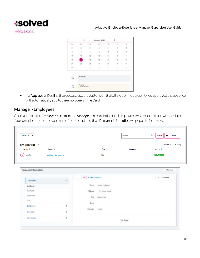

|                 | $\epsilon$ |       | January 2021   |            | 5                                       |                         |
|-----------------|------------|-------|----------------|------------|-----------------------------------------|-------------------------|
| 30.7            | MA         | $-24$ | We             | th:        | 1.84                                    | $\mathbf{r}_\mathrm{d}$ |
| $\overline{17}$ | ä          | $-21$ | ĵ              | ä          | $\langle \cdot   \cdot   \cdot \rangle$ | 塗                       |
| $\rightarrow$   | ş          | 釢     |                | 笛          | 181                                     | 崖                       |
| $10^{-7}$       | ū          | 12    | $\overline{B}$ | $i\bar{a}$ | $15 -$                                  | Ń6                      |
| 17.             |            | 19.7  | $20 -$         | χÿ.        | $-22 -$                                 | iti                     |
| 24              | 25         | 25    | 27             | žs.        | 29.7                                    | 30                      |
| $\mathbb{H}$ .  | S.         | E.    | ü              | V)         | $-3.1$                                  | ÿ,                      |

• To Approve or Decline the request, use the buttons on the left side of the screen. Once approved the absence will automatically add to the employee's Time Card.

#### <span id="page-17-0"></span>Manage > Employees

Once you click the Employees link from the Manage screen a listing of all employees who report to you will populate. You can select the employees name from the list and their Personal Information will populate for review.

|             |         | Manager $\vee$ |            |                             |
|-------------|---------|----------------|------------|-----------------------------|
| Employees 1 |         |                |            | <b>Fusion Test-Training</b> |
| Emp # 11    | Name 11 | Title 11       | Company 11 | Status 1                    |

| Personal Information |        |                                                                                                                              | Manager        |
|----------------------|--------|------------------------------------------------------------------------------------------------------------------------------|----------------|
| Employee             | $\sim$ | (CJ) Carlos Johnson                                                                                                          | $+$ Create new |
| Address              |        | Name Carlos Johnson<br>A WARRY CORRECTED AT A                                                                                |                |
| Contact<br>743756    |        | considerable to that the state and its<br>정기가 보고 있다<br>Address -<br>1129 Willow Road<br>2000년 2월<br>- FEMAN TA <del>UN</del> |                |
| Personal             |        | $\begin{tabular}{ll} \bf{C} by & & Macho \textbf{ } \bf{P} a \dot{\bf{s}} \\ \end{tabular}$                                  |                |
| Tak                  |        | State<br><b>ESTAR</b>                                                                                                        |                |
| Employer             | ×      | Zip code 10002                                                                                                               |                |
| Position             | X      |                                                                                                                              |                |
| Absences             | ž.     | I'm done                                                                                                                     |                |
|                      |        | 1979-000                                                                                                                     |                |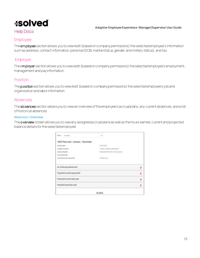

#### **Help Docs**

#### <span id="page-18-0"></span>Employee

The employee section allows you to view/edit (based on company permissions) the selected employee's information suchas address, contact information, personal (DOB, marital status, gender, and military status), and tax.

#### <span id="page-18-1"></span>Employer

The employer section allows you to view/edit (based on company permissions) the selected employee's employment, management and pay information.

#### <span id="page-18-2"></span>Position

The position section allows you to view/edit (based on company permissions) the selected employee's job and organization and labor information.

#### <span id="page-18-3"></span>Absences

The absences section allows you to view an overview of the employee's accrual plans, any current absences, and a list of historical absences

#### <span id="page-18-4"></span>Absences > Overview

The overview screen allows you to see any assigned accrual plans as well as the hours earned, current and projected balance details for the selected employee.

|                                       | fm done                                                              |    |
|---------------------------------------|----------------------------------------------------------------------|----|
| Projected next plan year.             |                                                                      |    |
| Projected current plan year           |                                                                      | ×  |
| Projected current pay period          |                                                                      | ,  |
| As of last pay period end             |                                                                      | ×, |
| Account rate per pay period           | 120.00 hours                                                         |    |
| Last meant date                       |                                                                      |    |
| Length of service<br>Ateartí schedule | T'VESFE, 2 MONTH (06 MONTH)<br>Scheduled (First Pay of Yeer) period. |    |
| <b>Bervice date</b>                   | 10/07/2015                                                           |    |
| 2020 Plan year   January - December   |                                                                      |    |
| Vesetion<br>Policy:                   | Q                                                                    |    |
|                                       |                                                                      |    |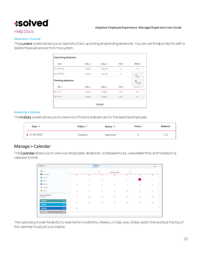#### Adaptive Employee Experience- Manager/Supervisor User Guide

#### **Help Docs**

#### <span id="page-19-0"></span>Absences > Current

The current screen allows you to see lists of any upcoming and pending absences. You can use the asymbol to edit or delete these absences from the system.

| .<br>Døte fi     | Policy <sup>11</sup>         | Status III         | 56650<br>Hours.<br>ಂಡಿಸಿ | .<br>Balance       |
|------------------|------------------------------|--------------------|--------------------------|--------------------|
| 5 12/30/2020     | Vecesion                     | Approved           | b                        | 112                |
| 101/04/2021      | Vecetion                     | Approved           | ä                        | <b>Bat</b>         |
| Pending absences |                              |                    |                          | <b>B</b><br>Delate |
| Date 11          | Policy 11                    | Status 11<br>22522 | Hours                    | <b>Windows</b>     |
| 21/19223         | Vacinicin                    | Perding            | 8.00                     | 104                |
| 51/18/21         | <b>ANTICATE</b><br>Vacation. | Panding<br>$-111$  | 8.00                     | Ħ                  |

#### <span id="page-19-1"></span>Absences > History

The history screen allows you to see a list of historical absences for the selected employee.

| Date 11      | Policy 1 | Status 1 | <b>Hours</b> | Balance |
|--------------|----------|----------|--------------|---------|
| ▶ 12/30/2020 | Vacation | Approved | я            | 112     |

#### <span id="page-19-2"></span>Manage > Calendar

The Calendar allows you to view your employees' absences, scheduled hours, unavailable time, and holidays in a calendar format.

| Calandar<br>ma                                                 |                                                                                                                                                                                                                                                                                                                                                                                                                                                           |                     | Mayb: Himm Day          |              |                             |                  | Honepe = 1           |
|----------------------------------------------------------------|-----------------------------------------------------------------------------------------------------------------------------------------------------------------------------------------------------------------------------------------------------------------------------------------------------------------------------------------------------------------------------------------------------------------------------------------------------------|---------------------|-------------------------|--------------|-----------------------------|------------------|----------------------|
| <b>VEW</b>                                                     |                                                                                                                                                                                                                                                                                                                                                                                                                                                           |                     | -99                     | January 2020 | 80                          |                  |                      |
| <b>B</b> General                                               | To:                                                                                                                                                                                                                                                                                                                                                                                                                                                       | $^{16}$             | $T_{\rm H}$             | WE.          | $\pm$                       | $\mathbb{R}$     | $\sim$               |
| B torn                                                         |                                                                                                                                                                                                                                                                                                                                                                                                                                                           | 1.11                |                         |              | <b>CONTROL</b>              |                  |                      |
| <b>Z</b> Fending                                               | $\Box$<br>$\frac{1}{2} \left( \frac{1}{2} \right)^2 + \frac{1}{2} \left( \frac{1}{2} \right)^2 + \frac{1}{2} \left( \frac{1}{2} \right)^2 + \frac{1}{2} \left( \frac{1}{2} \right)^2 + \frac{1}{2} \left( \frac{1}{2} \right)^2 + \frac{1}{2} \left( \frac{1}{2} \right)^2 + \frac{1}{2} \left( \frac{1}{2} \right)^2 + \frac{1}{2} \left( \frac{1}{2} \right)^2 + \frac{1}{2} \left( \frac{1}{2} \right)^2 + \frac{1}{2} \left( \frac{1}{2} \right)^2 +$ | $\mathcal{M}$<br>o. | $\mathcal{P}$           | ŧ            | $\mathcal{O}^{\mathcal{N}}$ |                  | $\bar{t}$            |
| <b>El Saysons</b>                                              | 冨                                                                                                                                                                                                                                                                                                                                                                                                                                                         |                     | $\overline{\mathbb{E}}$ | o.<br>×,     | ÷,                          | $\mathbb{R}^n$ . | G,                   |
| El travelato                                                   |                                                                                                                                                                                                                                                                                                                                                                                                                                                           | Â                   |                         |              |                             |                  |                      |
| <b>ED</b> Automo-                                              | $\widetilde{W}$                                                                                                                                                                                                                                                                                                                                                                                                                                           | ÷.                  | <b>u</b>                | 省            | 14.                         | $\frac{1}{2}$    | $\tilde{\mathbf{H}}$ |
| <b>ALLIN DISPLAY</b><br><b>EMPLOYEE SUMMARY</b><br>Jan 1, 2021 | 部                                                                                                                                                                                                                                                                                                                                                                                                                                                         | $\frac{1}{2}$       | $\alpha$ .              | W.           | $\overline{\mathfrak{m}}$   | $\frac{1}{2}$    | ÷.                   |
| <b>Absences</b><br>a y                                         |                                                                                                                                                                                                                                                                                                                                                                                                                                                           |                     |                         |              |                             |                  |                      |
| Persbay                                                        | ii)                                                                                                                                                                                                                                                                                                                                                                                                                                                       | ü                   | $-16$                   | 迩            | $\mathbf{K}$ .              | 巅                | lü.                  |
| Schedule<br>85.                                                | $\mathbf{H}^{\dagger}$                                                                                                                                                                                                                                                                                                                                                                                                                                    | Yû.                 | W.                      | ×            | $\rightarrow$               | ¥.               | - 1                  |
| <b>a</b> ril<br>mastrie                                        |                                                                                                                                                                                                                                                                                                                                                                                                                                                           |                     |                         |              |                             |                  |                      |

The calendar provide the ability to view items in a Monthly, Weekly, or Daily view. Simply select the words at the top of the calendar to adjust your display.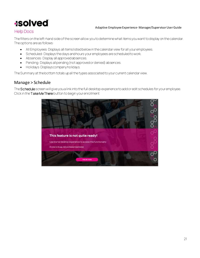#### Adaptive Employee Experience- Manager/Supervisor User Guide

#### **Help Docs**

The filters on the left-hand side of the screen allow you to determine what items you want to display on the calendar. The options are as follows:

- All Employees: Displays all items listed below in the calendar view for all your employees.
- Scheduled: Displays the days and hours your employees are scheduled to work.
- Absences: Display all approved absences.
- Pending: Displays all pending (not approved or denied) absences.
- Holidays: Displays company holidays.

The Summary at the bottom totals up all the types associated to your current calendar view.

#### <span id="page-20-0"></span>Manage > Schedule

The Schedule screen will give you a link into the full desktop experience to add or edit schedules for your employee. Click in the Take Me There button to begin your enrollment

![](_page_20_Picture_12.jpeg)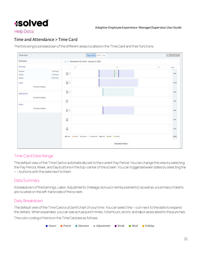#### **Help Docs**

#### <span id="page-21-0"></span>Time and Attendance > Time Card

The following is a breakdown of the different areas located on the Time Card and their functions:

![](_page_21_Figure_5.jpeg)

#### <span id="page-21-1"></span>Time CardDate Range

The default view of the Time Card is automatically set to the current Pay Period. You can change the view by selecting the Pay Period, Week, and Day buttons in the top-center of the screen. You can toggle between dates by selecting the < > buttons with the date next to them.

#### <span id="page-21-2"></span>Data Summary

A breakdown of the Earnings, Labor, Adjustments (mileage, bonus or reimbursements) as well as a summary of alerts are located on the left-hand side of the screen.

#### <span id="page-21-3"></span>Daily Breakdown

The default view of the Time Card is a Ganttchart of your time. You can select the > icon next to the date to expand the details. When expanded, you can see actual punch times, total hours, errors, and labor associated to the punches.

The color coding of items on the Time Cardare as follows:

![](_page_21_Figure_13.jpeg)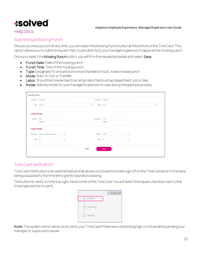### **Isolved**

#### **Help Docs**

#### <span id="page-22-0"></span>Submitting a Missing Punch

Should you miss a punch at any time, you can select the Missing Punch button at the bottom of the Time Card. This option allows you to submit a request that routes directly to your manager/supervisor to approve the missing punch.

Once you select the Missing Punch button, you will fill in the requested details and select Save.

- Punch Date: Date of the missing punch
- Punch Time: Time of the missing punch
- Type: Designate if it should be a normal (standard in/out), meal or break punch
- Mode: Auto, In, Out, or Transfer
- Labor: Should the time be tied to a certain labor field such as department, job or task
- Notes: Add any notes for your manager/supervisor to view during the approval process

|                                                | <b>PANERM</b> TESHING                    |                   |      | Parentsea. 1532 and |               |          |        |
|------------------------------------------------|------------------------------------------|-------------------|------|---------------------|---------------|----------|--------|
|                                                | Yen Charrott                             |                   | 99   |                     | MAIN Ave.     |          | $\sim$ |
| the annual contract of the con-<br>Labor Group |                                          |                   |      |                     |               |          |        |
| Crown fore                                     |                                          |                   |      | thenus 1. This      |               |          |        |
|                                                | Giango                                   |                   |      |                     | Chimpe        |          |        |
| Labor Fields<br>-----                          |                                          |                   |      |                     |               |          |        |
|                                                | Department : (81822) Payment Development | $\infty$          |      | <b>Basanet</b>      | <b>Dettod</b> | ÷        |        |
| $\sin^{-1}(\alpha)$<br><b>Service Annual</b>   |                                          | $\overline{\tau}$ |      | Johan               | Fat.          | $\omega$ |        |
|                                                |                                          |                   | виси |                     | SAVE          |          |        |

#### <span id="page-22-1"></span>Time Card Verification

Time Card Verification is an optional feature that allows you to electronically sign off on the Time Card prior to the data being populated to the time entry grid for payroll processing.

The button to verify is inthe top right-hand corner of the Time Card. You will select the square checkbox next to the Employee section to verify.

|                       | O Not written w |
|-----------------------|-----------------|
| C Employe             |                 |
| Expervisor<br>$\circ$ |                 |
| $Q$ wasps             |                 |

Note: The system will not allow you to verify your Time Card if there are outstanding high or critical alerts pending your manager or supervisors review.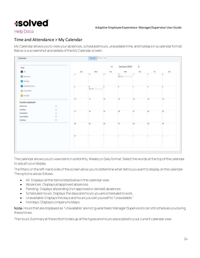#### **Help Docs**

#### <span id="page-23-0"></span>Time and Attendance > My Calendar

My Calendar allows you to view your absences, scheduled hours, unavailable time, and holidays in a calendar format. Below is a screenshot and details of the My Calendar screen:

![](_page_23_Figure_5.jpeg)

The calendar allowsyou to view items in a Monthly, Weekly or Daily format. Select the words at the top of the calendar to adjust your display.

The filters on the left-hand side of the screen allow you to determine what items you want to display on the calendar. The options are as follows:

- All: Displays allthe items listed below in the calendar view.
- Absences: Displays all approved absences.
- Pending: Displays all pending (not approved or denied) absences.
- Scheduled Hours: Displays the days and hours you are scheduled to work.
- Unavailable: Displays the days and hours you set yourself to "Unavailable."
- Holidays: Displays company holidays.

Note: Hours that are displayed as "Unavailable" are not quaranteed. Manager/Supervisors can still schedule you during these times.

The Hours Summary at the bottom totals up all the types and hours associated to your current calendar view.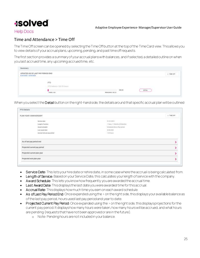![](_page_24_Picture_0.jpeg)

#### **Help Docs**

#### <span id="page-24-0"></span>Time and Attendance > Time Off

The Time Off screen can be opened by selecting the Time Off button at the top of the Time Card view. This allows you to view details ofyour accrual plans, upcoming, pending, and past time off requests.

The first section provides a summary of your accrual plans with balances, and if selected, a detailed outline on when you last accrued time, any upcoming accrued time, etc.

| Summary<br><b>CARD AND REPORTS</b>                         |                                                     |                                     |       |        |                                       |
|------------------------------------------------------------|-----------------------------------------------------|-------------------------------------|-------|--------|---------------------------------------|
| UPDATED AS OF LAST PAY PERIOD END<br>B/24/2020 - B/30/2020 |                                                     |                                     |       |        | THE OFF<br>distribution for parts and |
|                                                            | 2010/02/02<br>PTO<br>and the company of the company |                                     |       |        |                                       |
|                                                            | #10 fishingle 330.33 huum<br><b>CONTRACTOR</b>      |                                     |       |        |                                       |
|                                                            |                                                     |                                     | IN.33 | DETAIL |                                       |
|                                                            | TANEM 4.08                                          | FEMANING 130.33<br>도로 동료 경기 위치 가수야. |       |        |                                       |

When you select the Detail button on the right-hand side, the details around that specific accrual plan will be outlined

| PLAN YEAR I ANNIVERSARY      |                                  | + TIME OFF |
|------------------------------|----------------------------------|------------|
| detvice date                 | 01/01/2019                       |            |
| Length of anyine.            | T. Years, TT Months (22 Months). |            |
| Award schedule               | Scheitsles (Every Pay) period    |            |
| Last award date              | 0.28/2020                        |            |
| Accruel rate per pay period  | 1.39 Nives                       |            |
| As of last pay period end    |                                  |            |
| Projected current pay period |                                  |            |
| Projected current plan year  |                                  | s          |
| Projected next plan year     |                                  |            |

- Service Date: This lists your hire date or rehire date, in some case where the accrual is being calculated from.
- Length of Service: Based on your Service Date, this calculates your length of service with the company.
- Award Schedule: This lets you know how frequently you are awarded the accrual time.
- Last Award Date: This displays the last date you were awarded time for this accrual.
- Accrual Rate: This displays how much time you earn on each award schedule.
- As of Last Pay Period End: Once expanded using the > on the right side, this displays your available balance as of the last pay period, hours used last pay period and year to date.
- Projected Current Pay Period: Once expanded using the > on the right side, this displays projections for the current pay period. It displays how many hours were taken, how many hours will be accrued, and what hours are pending (requests that have not been approved or are in the future).
	- o Note: Pending hours are not included in your balance.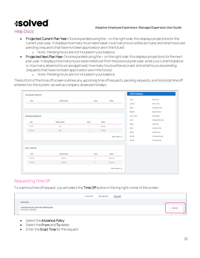#### Adaptive Employee Experience- Manager/Supervisor User Guide

**Help Docs** 

- Projected Current Plan Year: Once expanded using the > on the right side, this displays projections for the current plan year. It displays how many hours were taken, how many hours will be accrued, and what hours are pending (requests that have not been approved or are in the future).
	- o Note: Pending hours are not included in your balance.
- Projected Next Plan Year: Once expanded using the > on the right side, this displays projections for the next plan year. It displays how many hours were rolled over from the previous plan year, what your current balance is, how many absence hours are approved, how many hours will be accrued, and what hours are pending (requests that have not been approved or are in the future).
	- o Note: Pending hours are not included in your balance.

The bottom of the time off screen outlines any upcoming time off requests, pending requests, and historical time off entered into the system, as well as company observed holidays.

| UPCOMING TIME OFF |                 |                       |                       |                | 2020 holidays              |                    |
|-------------------|-----------------|-----------------------|-----------------------|----------------|----------------------------|--------------------|
| Date:             | Also mos policy | <b>HILES</b><br>72    |                       | Status         | <b>Jan 1</b>               | <b>New Yorks</b>   |
|                   |                 |                       |                       |                | Jan 15                     | <b>M.K.Jr.Day</b>  |
|                   |                 |                       |                       |                | Peb 2                      | President's Die    |
|                   |                 |                       |                       |                | May 25                     | Mernanal Day       |
| PENDING REQUESTS  |                 |                       |                       |                | $214 - 2146$<br>22. proble | Cute Hange         |
| w<br>Date:        | Abonnem policy  | 02.51<br><b>Hists</b> | zan.<br><b>Status</b> |                | 3414<br>300                | inoypentence Day   |
|                   |                 |                       |                       |                | Sep 2                      | <b>Salidat Day</b> |
| 10/6/32           | Sok             | $\mathbb{R}^+$        | Festing               |                | Oct 2                      | Columbus Day       |
| 10/10/20          | Sok             | 3                     | Pentric               | ×              | film to                    | Veteranz Day       |
|                   |                 |                       |                       | View 3 more >  | Nov.26                     | Thanksgiving Day   |
|                   |                 |                       |                       |                | Tcc.25                     | Christmas Day      |
| PAST TIME OFF     |                 |                       |                       |                |                            |                    |
| Date              | Alsonor points  | Hours.                |                       | Steher.        |                            |                    |
| 3/25/26           | Velation:       | $\mathbbm{1}$         |                       | Approved       |                            |                    |
| NYIBOR.           | Values:         | $\boldsymbol{\pi}$    |                       | Approved       |                            |                    |
|                   |                 |                       |                       | View 20 more 3 |                            |                    |

#### <span id="page-25-0"></span>Requesting Time Off

To submit a time off request, you will select the Time Off button in the top right corner of the screen.

|                                                                                                      | Time Card | My Calendar | Time Off |  |
|------------------------------------------------------------------------------------------------------|-----------|-------------|----------|--|
| ummary                                                                                               |           |             |          |  |
| UPDATED AS OF LAST PAY PERIOD END<br>and the company's company's production<br>8/24/2020 - 8/30/2020 |           |             |          |  |

- Select the Absence Policy
- Select the From and To dates
- Enter the Start Time for the request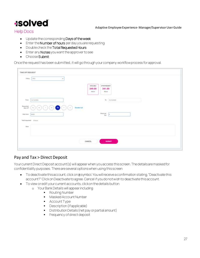Adaptive Employee Experience- Manager/Supervisor User Guide

#### **Help Docs**

- Update the corresponding Days of the week
- Enter the **Number of hours** per day you are requesting
- Double check the Total Requested Hours
- Enter any Notesyou want the approver to see
- Choose Submit

Once the request has been submitted, it will go through your company workflow process for approval.

| Policy:   PTD<br>$\dot{\mathcal{M}}$                                                                                                                                                                                                        |                                                                                            |
|---------------------------------------------------------------------------------------------------------------------------------------------------------------------------------------------------------------------------------------------|--------------------------------------------------------------------------------------------|
|                                                                                                                                                                                                                                             | APTER REQUEST<br><b><i>INNUABLE</i></b><br>349.00<br>341.00<br>Nours<br><b>Haza</b><br>452 |
| From<br>ELTW2021<br>$\sim$                                                                                                                                                                                                                  | Tel: 12/10/2028                                                                            |
| $\textcircled{\small{\circledcirc}}\textcircled{\small{\circledcirc}}\textcircled{\small{\circledcirc}}\textcircled{\small{\circledcirc}}\textcircled{\small{\circledcirc}}\textcircled{\small{\circledcirc}}$<br>throughout.<br>We eye off |                                                                                            |
| <b>Tract firee</b><br>0100                                                                                                                                                                                                                  | Hours per $_{\rm deg}$<br>×                                                                |
| Total requested 5 hours                                                                                                                                                                                                                     |                                                                                            |
| Note                                                                                                                                                                                                                                        |                                                                                            |
|                                                                                                                                                                                                                                             |                                                                                            |
|                                                                                                                                                                                                                                             |                                                                                            |

#### <span id="page-26-0"></span>Pay and Tax > Direct Deposit

Your current Direct Deposit account (s) will appear when you access this screen. The details are masked for confidentiality purposes. There are several options when using this screen

- To deactivate this account, click on a symbol. You will receive a confirmation stating, "Deactivate this account?" Click on Deactivate to agree. Cancel if you do not wish to deactivate this account.
- To view or edit your current accounts, click on the details button
	- o Your Bank Details will appear including
		- Routing Number
			- Masked Account Number
			- Account Type
			- Description (if applicable)
			- Distribution Details (net pay or partial amount)
			- **•** Frequency of direct deposit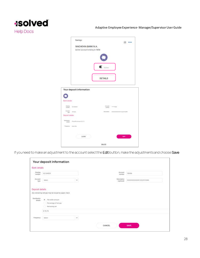![](_page_27_Picture_0.jpeg)

|                  | Savings                                                                                         |                |                                               |
|------------------|-------------------------------------------------------------------------------------------------|----------------|-----------------------------------------------|
|                  | WACHOVIA BANK N.A.<br>Active account ending in 9456                                             |                |                                               |
|                  |                                                                                                 | Active         |                                               |
|                  |                                                                                                 | DETAILS        |                                               |
|                  | Your deposit information                                                                        |                |                                               |
| Bank details     |                                                                                                 |                |                                               |
|                  | Horing Investment                                                                               | <b>Address</b> | Assault - service -                           |
| Autoute<br>TERR  | $\left\vert \left( \alpha \right) \right\rangle \left\vert \left( \alpha \right) \right\rangle$ |                | Reempther : indication consistently wheleful. |
| Deposit ontake   |                                                                                                 |                |                                               |
| <b>EXPRESSOR</b> | deals. Fis who seem \$15.15                                                                     |                |                                               |
| Four-H. British  |                                                                                                 |                |                                               |
|                  |                                                                                                 |                |                                               |
|                  | CLOSE                                                                                           |                | $-600$                                        |

If you need to make an adjustment to the account select the Edit button, make the adjustments and choose Save

| 51537357555                           | Your deposit information                                                   |    |        |                           |                         |
|---------------------------------------|----------------------------------------------------------------------------|----|--------|---------------------------|-------------------------|
| Bank details                          |                                                                            |    |        |                           |                         |
| Ruxting<br>mimber                     | ozvanotes                                                                  |    |        | Account<br>number         | 5723120<br>789456       |
| Account<br>$\mu_{\rm{bb}}$            | Select                                                                     | W. |        | Deteription<br>(optimual) | 00000000000733)(*8*%3## |
| <b>DESCRIPTION</b><br>Deposit details |                                                                            |    |        |                           |                         |
|                                       | Any remaining net pay may be traued by paper check.                        |    |        |                           |                         |
| Distribution<br>details               | . Fac dollar eropant<br>Percentage of net pay<br>E<br><b>Remaining net</b> |    |        |                           |                         |
|                                       | \$72.73                                                                    |    |        |                           |                         |
| Frequency                             | Select                                                                     | v  |        |                           |                         |
|                                       |                                                                            |    | CANCEL |                           | SAVE                    |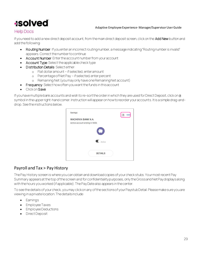#### Adaptive Employee Experience- Manager/Supervisor User Guide

#### **Help Docs**

If you need to add a new direct deposit account, from the main direct deposit screen, click on the Add New button and add the following:

- Routing Number: If you enter an incorrect routing number, a message indicating "Routing number is invalid" appears. Correct the number to continue
- Account Number: Enter the account number from your account
- Account Type: Select the applicable check type
- **Distribution Details: Select either:** 
	- o Flat dollar amount if selected, enter amount
	- o Percentage of Net Pay if selected, enter percent
	- o Remaining Net (you may only have one Remaining Net account)
- Frequency: Select how often you want the funds in this account
- Click on S ave

If you have multiple bank accounts and wish to re-sort the order in which they are used for Direct Deposit, click on a symbol in the upper right-hand corner. Instruction will appear on how to reorder your accounts. It is a simple drag-anddrop. See the instructions below.

![](_page_28_Picture_14.jpeg)

#### <span id="page-28-0"></span>Payroll and Tax > Pay History

The Pay History screen is where you can obtain and download copies of your check stubs. Your most recent Pay Summary appears at the top of the screen and for confidentiality purposes, only theGross and Net Pay displays along with the hours you worked (if applicable). The Pay Date also appears in the center.

To see the details of your check, you may click on any of the sections of your Paystub Detail. Please make sure you are viewing in a private location. The details include:

- **Earnings**
- Employee Taxes
- Employee Deductions
- Direct Deposit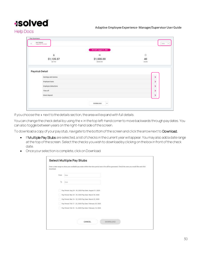Adaptive Employee Experience- Manager/Supervisor User Guide

#### **Help Docs**

|                       | PAY DAYS August 31, 2020       |                    |
|-----------------------|--------------------------------|--------------------|
| ã                     | $\circ$                        | $\frac{\circ}{40}$ |
| \$1,135.57<br>HET PAY | \$1,500.00<br><b>GROSS PAY</b> | 1400492            |
| Paystub Detail        |                                |                    |
| Earnings and memor    |                                | ×                  |
| Employee taxes        |                                | ś                  |
| Employee deductions   |                                | ۶                  |
| Time off              |                                | ×                  |
| Direct deposit        |                                | ٠                  |

If you choose the > next to the details section, the area will expand with full details.

You can change the check detail by using the < in the top left-hand corner to move backwards through pay dates. You can also toggle between years on the right-hand side of the screen.

To download a copy of your pay stub, navigate to the bottom of the screen and click the arrow next to Download.

- If Multiple Pay Stubs are selected, a list of checks in the current year will appear. You may also add a date range at the top of the screen. Select the checks you wish to download by clicking on the box in front of the check date.
- Once your selection is complete, click on Download.

| download. |                                | Enter a date range to abow your available pay stutus within that time periud and a list will be generated. Check the ones you sould like and click |
|-----------|--------------------------------|----------------------------------------------------------------------------------------------------------------------------------------------------|
|           | From                           | there                                                                                                                                              |
|           | 55<br>$\overline{\mathcal{D}}$ | Date                                                                                                                                               |
|           |                                | Pay Pertott Avig 24 - 30, 2020 Pay Date: August 31, 2020                                                                                           |
|           |                                | Pay Period: Mar 23 - 29, 2020 Pay Date: March 30, 2020                                                                                             |
|           |                                | Pay Pentod: Mar. 16 - 22, 2020 Pay Date: March 23, 2020                                                                                            |
|           |                                | Pay Period: Feb 17 - 23, 2020 Pay Date: February 24, 2020                                                                                          |
|           |                                | Pay Period: Feb 10-16, 2020 Pay Date: February 14, 2020.                                                                                           |
|           |                                |                                                                                                                                                    |
|           |                                |                                                                                                                                                    |
|           |                                | CANCEL<br>DOWNLOAD                                                                                                                                 |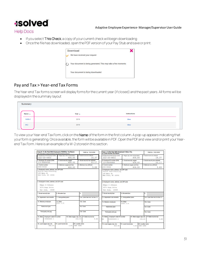![](_page_30_Picture_0.jpeg)

**Help Docs** 

- If you select This Check, a copy of your current check will begin downloading
- Once the file has downloaded, open the PDF version of your Pay Stub and save or print.

![](_page_30_Picture_5.jpeg)

#### <span id="page-30-0"></span>Pay and Tax > Year-end Tax Forms

The Year-end Tax forms screen will display forms for the current year (if closed) and the past years. All forms wi ll be displayed in the summary layout

| Summary            |              |              |  |
|--------------------|--------------|--------------|--|
| Name $t\downarrow$ | Year $_{11}$ | Instructions |  |
| 1095-C             | 2019         | <b>View</b>  |  |
| $W-2$              | 2019         | <b>View</b>  |  |

To view your Year-end Tax Form, click on the Name of the form in the first column. A pop-up appears indicating that your form is generating. Once available, the form will be available in PDF. Open the PDF and view and/or print your Yearend Tax Form. Here is an example of a W-2 stored in this section.

| This information is being furrished to the Internal Revenue Service.                                   | Copy B-To Be Filed With Employee's FEDERAL Tax Return | OMB No. 1545-0008                                                  |                                 | Copy 2-To Be Filed With Employee's State, City,<br>or Local Income Tax Return                      |                         |                                              |                               | OMB No. 1545-0008                        |
|--------------------------------------------------------------------------------------------------------|-------------------------------------------------------|--------------------------------------------------------------------|---------------------------------|----------------------------------------------------------------------------------------------------|-------------------------|----------------------------------------------|-------------------------------|------------------------------------------|
| a. Employee's social security number<br>$222 - 33 - 4453$                                              | 1. Wages, Sps. other compensation<br>406.00           | 2. Federal income tax withheld<br>16.37                            |                                 | a. Employee's social security number<br>$222 - 33 - 4453$                                          |                         | 1. Wages, \$ps, other compensation<br>406.00 |                               | 2. Federal income tax withheld<br>16.37  |
| b. Employer ID number (EIN)<br>13-9999999                                                              | 3. Social security wages<br>406.00                    | 4. Social security tax withheld<br>25.17                           |                                 | b. Employer ID number (EIN)<br>13-9999999                                                          |                         | 3. Social security wages<br>406.00           |                               | 4. Social security tax withheld<br>25.17 |
| d. Control number<br>2005-30044                                                                        | 5. Medicare wages and tips<br>406.00                  | 6. Medicare tax withheld<br>5.89                                   | d. Control number<br>2005-30044 |                                                                                                    |                         | 5. Medicare wages and tips<br>406.00         |                               | 6. Medicare tax withheld<br>5.89         |
| c. Employer's name, address, and ZIP code<br>Fusion Test-Training<br>100 Main St<br>New York, NY 10004 |                                                       |                                                                    | 100 Main St                     | c. Employer's name, address, and ZIP code<br>Fusion Test-Training<br>New York, NY 10004            |                         |                                              |                               |                                          |
| e. Employee's name, address, and ZIP code<br>Edgar S Johnson<br>3276 Haga Drive<br>San Jose, 10005     |                                                       |                                                                    |                                 | e. Employee's name, address, and ZIP code<br>Edgar S Johnson<br>3276 Haga Drive<br>San Jose, 10005 |                         |                                              |                               |                                          |
| 7. Social security tips                                                                                | 8. Allocated tips                                     | 9.                                                                 |                                 | 7. Social security tips                                                                            | 8. Allocated tips       |                                              | g.                            |                                          |
| 10. Dependent care benefits                                                                            | 11. Nonqualified plans                                | 12a Code See inst. for Box 12                                      |                                 | 10. Dependent care benefits                                                                        | 11. Nonqualified plans  |                                              |                               | 12a. Code See inst. for Box 12.          |
| 13. Statutory employee                                                                                 | 14. Other<br>NYSDI U.60                               | 12b. Code                                                          |                                 | 13. Statutory employee                                                                             | 14. Other<br>NYSDI 0.60 |                                              |                               | 12b. Code                                |
| Retirement plan                                                                                        |                                                       | 12c. Code                                                          |                                 | Retirement plan                                                                                    |                         |                                              |                               | 12c Code                                 |
| Third-party sick pay                                                                                   |                                                       | 12d. Code                                                          |                                 | Third-party sick pay                                                                               |                         |                                              |                               | 12d. Code                                |
| Employer's state ID number<br>15. State<br>NY<br>139999999 0                                           |                                                       | 16. State wages, tips, etc. 17. State income tax<br>9.84<br>406.00 | 15. State<br>NY <sup></sup>     | Employer's state ID number<br>n pppppppp t                                                         |                         | 16. State wages, tips, etc.                  | 406.00                        | 17.State income tax<br>9.84              |
| 18. Local wages, tips, etc.<br>406.00                                                                  | 19. Local income tax<br>6.81                          | 20. Locality name<br>NEW YORK                                      |                                 | 18. Local wages, tips, etc.<br>406.00                                                              | 19. Local income tax.   | 6.81                                         | 20. Locality name<br>NEW YORK |                                          |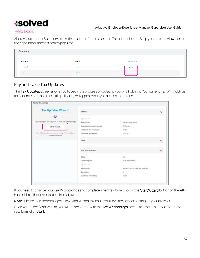#### Adaptive Employee Experience- Manager/Supervisor User Guide

#### **Help Docs**

Also available under Summary are the Instructions for the Year-end Tax form selected. Simply choose the View icon on the right-hand side for them to populate.

| <b>Summary</b>     |              |              |  |
|--------------------|--------------|--------------|--|
| Name <sub>11</sub> | Year $_{11}$ | Instructions |  |
| 1095-C             | 2019         | <b>View</b>  |  |
| $W-2$              | 2019         | View         |  |

#### <span id="page-31-0"></span>Pay and Tax > Tax Updates

The Tax Updates screen allows you to begin the process of updating your withholdings. Your current Tax Withholdings for Federal, State and Local (if applicable) will appear when you access the screen.

| <b>Tax Updates Wizard</b>                                                                            |                               |                                      |   |
|------------------------------------------------------------------------------------------------------|-------------------------------|--------------------------------------|---|
|                                                                                                      | Federal                       |                                      | v |
| 4                                                                                                    | El motore                     |                                      |   |
| Make changes and updates to your tax withholdings.                                                   | Filing status:                | Married Filmg Jointly                |   |
| <b>START WIZARD</b>                                                                                  | Dependent examption amount    | \$7,503.00                           |   |
|                                                                                                      | Additional income amount      | \$3.00                               |   |
| Stable 3rd pany pooline in practites we writings if the size of above.<br>"your persons in mention". | Additional withholding        | 1234.00                              |   |
|                                                                                                      | <b>now</b><br>State<br>89 B B |                                      | Ÿ |
|                                                                                                      | Non Resident State            |                                      |   |
|                                                                                                      | <b>State</b>                  | 163                                  |   |
|                                                                                                      | Tax description               | <b>NEW JERSEY WH.</b>                |   |
|                                                                                                      | $\frac{1}{2}$ (Fig. 2) (a.s.  |                                      |   |
|                                                                                                      | Filmg status.                 | Married/Civil Union Partner Separate |   |
|                                                                                                      | Exemptions                    | $\mathbb{I}$                         |   |
|                                                                                                      | Additional withholding        | Anazon<br>\$3.00                     |   |

If you need to change your Tax Withholdings and complete a new tax form, click on the Start Wizard button on the lefthand side of the screen as outlined above.

Note: Please read the message below Start Wizard to ensure you have the correct settings in your browser.

Once you select Start Wizard, you will be presented with the Tax Withholdings screen to start or sign out. To start a new form, click Start.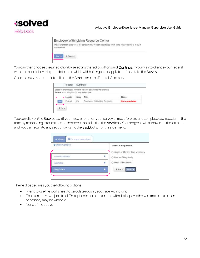![](_page_32_Picture_0.jpeg)

![](_page_32_Picture_2.jpeg)

You can then choose the jurisdiction by selecting the radio buttons and Continue. If you wish to change your Federal withholding, click on "Help me determine which withholding forms apply to me" and take the Survey.

Once the survey is complete, click on the Starticon in the Federal-Summary.

|      |          |       | Based on answers you provided, we have determined the following<br>Federal withholding form(s) may apply to you. |                      |
|------|----------|-------|------------------------------------------------------------------------------------------------------------------|----------------------|
|      | Locality | Name  | Title                                                                                                            | <b>Status</b>        |
| tart | Federal  | $W-4$ | Employee's Withholding Certificate                                                                               | <b>Not completed</b> |

You can click on the **Back** button if you made an error on your survey or move forward and complete each section in the form by responding to questions on the screen and clicking the Nexticon. Your progress will be saved on the left side, and you can return to any section by using the **Back** button or the side menu.

| <b>O</b> Check my progress | Select a filing status                                          |  |
|----------------------------|-----------------------------------------------------------------|--|
|                            | Single or Married filing separately<br>오사이스 레일레이 저런 사람이라고요 말 봐. |  |
| Nonnesident Alien          | C Married Filing Jointly                                        |  |
| Exemption                  | C Head of Household                                             |  |
| <b>Filmy Status</b>        | Next ><br>₹ Back                                                |  |

The next page gives you the following options:

- I want to use the worksheet to calculate roughly accurate withholding
- There are only two jobs total. The option is accurate or jobs with similar pay, otherwise more taxes than necessary may be withheld
- None of the above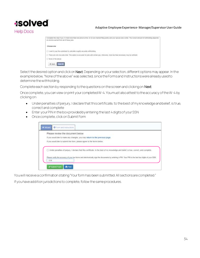**Help Docs** 

#### Adaptive Employee Experience- Manager/Supervisor User Guide

| Complete this like if you (1) hold more than one job at a time, or (2) are manted filing jointy and your spouse also works. The comed amount of withholding depends<br>on income samed from all of these jobs. |  |  |  |
|----------------------------------------------------------------------------------------------------------------------------------------------------------------------------------------------------------------|--|--|--|
| Choose one                                                                                                                                                                                                     |  |  |  |
| FOR SIZE OF CONFIDENTIAL RELATIONS.<br>C I want to use the worksheet to calculate roughly accurate withbolding                                                                                                 |  |  |  |
| C There are only two jobs total This option is accurate tor jobs with smiler pay; otherwise, more tax than necessary may be withheld.                                                                          |  |  |  |
| None of the above                                                                                                                                                                                              |  |  |  |
| $ $ ment $\ge$<br>$4$ Back                                                                                                                                                                                     |  |  |  |

Select the desired option and click on Next. Depending on your selection, different options may appear. In the example below, "None of the above" was selected, since the Forms and Instructions were already used to determine the withholding.

Complete each section by responding to the questions on the screen and clicking on Next.

Once complete, you canview or print your completed W-4. You must also attest to the accuracy of the W-4 by clicking on:

- Under penalties of perjury, I declare that this certificate, to the best of my knowledge and belief, is true, correct and complete
- Enter your PIN in the box provided by entering the last 4 digits of your SSN
- Once complete, click on Submit Form

| Please review the document below                                                                                                     |
|--------------------------------------------------------------------------------------------------------------------------------------|
| If you would like to make any changes, you may return to the previous page.                                                          |
| If you would like to submit this form, please agree to the terms below.<br>나게 따라 어려워서 보기 되는 일이 아니 주어 있어 있어 선생님께서 이 사람들이 아이를 했다.      |
| Under penalties of periury, I declare that this certificate, to the best of my knowledge and belief, is true, correct, and complete. |
|                                                                                                                                      |

You will receive a confirmation stating "Your form has been submitted. All sections are completed." If you have addition jurisdictions to complete, follow the same procedures.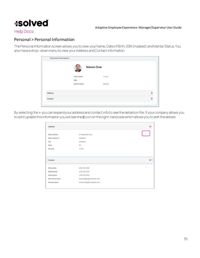![](_page_34_Picture_0.jpeg)

#### **Help Docs**

#### <span id="page-34-0"></span>Personal > Personal Information

ThePersonal Informationscreen allows you to view your Name, Date of Birth, SSN (masked) and Marital Status. You also have a drop-down menu to view your Address and Contact information.

| <b>Mason Doe</b><br>Date of birth<br>1/1/25                       |   |
|-------------------------------------------------------------------|---|
|                                                                   |   |
|                                                                   |   |
|                                                                   |   |
| <b>Married</b><br>Marital status<br><u>an mana ang kabupatèn </u> |   |
|                                                                   |   |
|                                                                   | 5 |
|                                                                   |   |

By selecting the > you can expand your address and contact info to see the details on file. If your company allows you to edit/update this information you will see the **n** icon on the right-hand side which allows you to edit the details.

|                      |                           | Address             |
|----------------------|---------------------------|---------------------|
|                      |                           | e nou               |
|                      | 27 Serpenthe Lave         | Street address      |
|                      | kidhjellie                | Street address 2    |
|                      | Levittown                 | City.               |
|                      | ŃÝ                        | <b>State</b>        |
|                      | 11756                     | Zip code            |
| $\ddot{\phantom{0}}$ |                           | Contact:            |
| ×                    | (609) 553-2265            | Work phone          |
|                      | (732) 251-0275            | Mobile phone        |
|                      | (704) 555-7895            | Home phrase         |
|                      | doemahager@profonmail.com | Self-service etrial |
|                      | emailchange@oumeplace.com | Personal email      |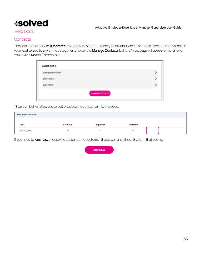#### Adaptive Employee Experience- Manager/Supervisor User Guide

#### **Help Docs**

#### <span id="page-35-0"></span>**Contacts**

The next section labeled Contacts stores any existing Emergency Contacts, Beneficiaries and Dependents available. If you need to add to any of the categories, click on the Manage Contacts button. A new page will appear which allows you to Add New or Edit contacts.

| <b>Emergency contacts</b> |  |
|---------------------------|--|
| <b>Beneficiaries</b>      |  |
| Dependents                |  |

The a symbol will allow you to edit or delete the contact on file if needed.

| <b>Manage Contacts</b> |                    |           |              |  |
|------------------------|--------------------|-----------|--------------|--|
| <b>Name</b>            | <b>Beneficiary</b> | Dependent | Emergency    |  |
| McCorkle, Josiah       | $\checkmark$       | ັ         | $\checkmark$ |  |

If you need to Add New choose the button at the bottom of the screen and fill out the form that opens.

![](_page_35_Picture_9.jpeg)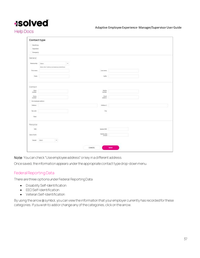Adaptive Employee Experience- Manager/Supervisor User Guide

**Help Docs** 

| Contact type                                              |                                                    |                     |                                             |  |  |
|-----------------------------------------------------------|----------------------------------------------------|---------------------|---------------------------------------------|--|--|
| Sandcay                                                   |                                                    |                     |                                             |  |  |
| Dependent                                                 |                                                    |                     |                                             |  |  |
| Immyeriy                                                  |                                                    |                     |                                             |  |  |
| General                                                   |                                                    |                     |                                             |  |  |
| Teletionitis                                              | Sinc.                                              | <b>Contract</b>     |                                             |  |  |
|                                                           | Deltor other if adding to string to a beneficially |                     |                                             |  |  |
| <b>Finitnane</b>                                          |                                                    |                     | Lastname                                    |  |  |
| us n<br>Pretic                                            |                                                    |                     | Suths                                       |  |  |
|                                                           |                                                    |                     |                                             |  |  |
| Contact<br><b>Holk</b><br>rambie<br><b>Hams</b><br>number |                                                    |                     | Mobile<br>nather<br><b>Treat</b><br>address |  |  |
| the explore address                                       |                                                    |                     |                                             |  |  |
| Address                                                   |                                                    |                     | Address 2                                   |  |  |
| Ziprosale                                                 |                                                    |                     | City                                        |  |  |
| <b>State</b>                                              |                                                    |                     |                                             |  |  |
| Personal                                                  |                                                    |                     |                                             |  |  |
| 558                                                       |                                                    |                     | <b>Identifie SSN</b>                        |  |  |
| $-1.1.1 - 1$<br>Zare of Link                              |                                                    |                     | Update date<br>of list:                     |  |  |
| Devolet  Salest                                           | 3.602                                              |                     |                                             |  |  |
|                                                           |                                                    |                     |                                             |  |  |
|                                                           |                                                    | CANCEL <sup>1</sup> | <b>BAVE</b>                                 |  |  |

Note: You can check "Use employee address" or key in a different address.

Once saved, the information appears under the appropriate contact type drop-down menu.

#### <span id="page-36-0"></span>Federal Reporting Data

There are three options under Federal Reporting Data:

- Disability Self-Identification
- EEO Self-Identification
- Veteran Self-Identification

By using the arrow a symbol, you can view the information that your employer currently has recorded for these categories. If you wish to add or change any of the categories, click on the arrow.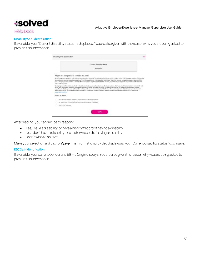#### Adaptive Employee Experience- Manager/Supervisor User Guide

#### **Help Docs**

#### <span id="page-37-0"></span>Disability Self-Identification

If available, your "Current disability status" is displayed. You are also given with the reason why you are being asked to provide this information.

|                         | Disability Self-identification                                                                                                                                                                                                                                                                                                                                                                                                                                                                                                                                                                                                                           |  |
|-------------------------|----------------------------------------------------------------------------------------------------------------------------------------------------------------------------------------------------------------------------------------------------------------------------------------------------------------------------------------------------------------------------------------------------------------------------------------------------------------------------------------------------------------------------------------------------------------------------------------------------------------------------------------------------------|--|
|                         | Current disability status.                                                                                                                                                                                                                                                                                                                                                                                                                                                                                                                                                                                                                               |  |
|                         | Net Disabled                                                                                                                                                                                                                                                                                                                                                                                                                                                                                                                                                                                                                                             |  |
|                         | Why are you being asked to complete this form?                                                                                                                                                                                                                                                                                                                                                                                                                                                                                                                                                                                                           |  |
| least every five years. | We are a federal contractor or subcontractor required by law to provide expal engloyment appurtunity to qualified people with dismilities. We are also required<br>to researce our progress toward having at least 7% of our waldfunce be individuals with disabilities. To do this, we must led, applicants and engineers if they<br>have a disability or have ever had a disability. Because a service may become disabled at any time, we ask all of our enginyees to update their information at                                                                                                                                                     |  |
| www.dot.gov/atocat.     | Newtifixing yourself as an individual with a ritrability in voluntary, and we hape that pop will obsoles to do an. Your answer will be maintained coofsteed ally and<br>red for seen to orienting officials or annone else tracked to making personnel decisions. Conspiring the form will not regatively impact you in any year.<br>regardling of whether you have self-identified in the past. For more information about this form or the equal employment obliqations of federal contractors:<br>under Section 503 of the Rehabilitation Art, your the U.S. Department of Labor's Office of Federal Contract Completed Programs (OFCCP) sectority at |  |
| Select an option        |                                                                                                                                                                                                                                                                                                                                                                                                                                                                                                                                                                                                                                                          |  |
|                         | Ves. I Have A Disability, Of Have A History/Record Of Having & Stealelite                                                                                                                                                                                                                                                                                                                                                                                                                                                                                                                                                                                |  |
|                         | No. 1 Darit Have A Couloilly, Or A Hollory Record Di Haritog A Dreatlifts                                                                                                                                                                                                                                                                                                                                                                                                                                                                                                                                                                                |  |
| (Basit Wish To Answer   |                                                                                                                                                                                                                                                                                                                                                                                                                                                                                                                                                                                                                                                          |  |
|                         |                                                                                                                                                                                                                                                                                                                                                                                                                                                                                                                                                                                                                                                          |  |

After reading, you can decide to respond:

- Yes, I have a disability, or have a history/record of having a disability
- No, I don't have a disability, or a history/record of having a disability
- I don't wish to answer

Make your selection and click on Save. The information provided displays as your "Current disability status" upon save.

#### <span id="page-37-1"></span>EEO Self-Identification

If available, your current Gender and Ethnic Origin displays. You are also given the reason why you are being asked to provide this information.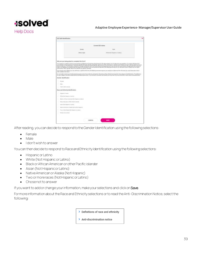### **Isolved Help Docs**

#### Adaptive Employee Experience- Manager/Supervisor User Guide

|                                                      |                                                                                | Current EEO status:                                                                                                                                                                                                                                                                                                                                                                                                                                                                                                                                               |  |
|------------------------------------------------------|--------------------------------------------------------------------------------|-------------------------------------------------------------------------------------------------------------------------------------------------------------------------------------------------------------------------------------------------------------------------------------------------------------------------------------------------------------------------------------------------------------------------------------------------------------------------------------------------------------------------------------------------------------------|--|
|                                                      | <b>Die solden</b>                                                              | kilolik                                                                                                                                                                                                                                                                                                                                                                                                                                                                                                                                                           |  |
|                                                      | <b>ITTIVES HOURS</b>                                                           | White-Dicit Hispanic of LMInch                                                                                                                                                                                                                                                                                                                                                                                                                                                                                                                                    |  |
|                                                      | Why are you being asked to consplete this form?                                | Thai estatione is subject to person governmental resolutions and reporting requirements for the administration of york rights tied initiated and regulations. You comply with these basis                                                                                                                                                                                                                                                                                                                                                                         |  |
|                                                      | embrowners. When reported, data will hat also the source scientific including. | your amployer insince employees to substrain identify that race, attracts and gender. Submission of this information is vulcated as of refurable paid of which it will not wident asset<br>advance treatment. The intermetion obtained still be lays confidential which the Human Nevouroscillagement and may only be used to annothern with applicable lanc, assessing<br>profects, and regulations, including Hosek that newers the tributuation to be summarized and reported to the federal government for your Affinited in Advisor Program and cost rights. |  |
| other analysis information.                          |                                                                                | If you choose not to identify you case, ethicity, or panke at the time. Se failed government requires your employer to determine the releaseship by your illuses strong exister                                                                                                                                                                                                                                                                                                                                                                                   |  |
|                                                      |                                                                                | For cash rights monitoring and with content passengers only all race, wherein and gender information will be collected and responsed in the categories interested better from Minimizing<br>for each category have learn established by the febbeat government. If you identice to returnably self-identify you may must not also a child toward to each self-to a painting powerfully and                                                                                                                                                                        |  |
| Bandar identification.                               |                                                                                |                                                                                                                                                                                                                                                                                                                                                                                                                                                                                                                                                                   |  |
| <b>German</b>                                        |                                                                                |                                                                                                                                                                                                                                                                                                                                                                                                                                                                                                                                                                   |  |
| Made                                                 |                                                                                |                                                                                                                                                                                                                                                                                                                                                                                                                                                                                                                                                                   |  |
| 1-Box 1 could be developed                           |                                                                                |                                                                                                                                                                                                                                                                                                                                                                                                                                                                                                                                                                   |  |
| Race and effective identification                    |                                                                                |                                                                                                                                                                                                                                                                                                                                                                                                                                                                                                                                                                   |  |
| <b>PRESERVATE LA LIGENIE</b>                         |                                                                                |                                                                                                                                                                                                                                                                                                                                                                                                                                                                                                                                                                   |  |
| Wirks (Stat Higgsprin of Latines)                    |                                                                                |                                                                                                                                                                                                                                                                                                                                                                                                                                                                                                                                                                   |  |
|                                                      | Black on AR least Historican (Tech Hispatric of Latine)                        |                                                                                                                                                                                                                                                                                                                                                                                                                                                                                                                                                                   |  |
| lative Heraian in Dire Facilio Waveler               |                                                                                |                                                                                                                                                                                                                                                                                                                                                                                                                                                                                                                                                                   |  |
|                                                      |                                                                                |                                                                                                                                                                                                                                                                                                                                                                                                                                                                                                                                                                   |  |
| Lenis (Per History of Latin)                         |                                                                                |                                                                                                                                                                                                                                                                                                                                                                                                                                                                                                                                                                   |  |
|                                                      | Restrict Almerts and A Suday, Publish 27821 Willigam Ed.                       |                                                                                                                                                                                                                                                                                                                                                                                                                                                                                                                                                                   |  |
| Topo ka' Michell Pakowa (Mich Arhaganton certainten) |                                                                                |                                                                                                                                                                                                                                                                                                                                                                                                                                                                                                                                                                   |  |

After reading, you can decide to respond to the Gender Identification using the following selections:

- Female
- Male
- I don't wish to answer

You can then decide to respond to Race and Ethnicity Identification using the following selections:

- Hispanic or Latino
- White (Not Hispanic or Latino)
- Black or African American or other Pacific islander
- Asian (Not Hispanic or Latino)
- Native American or Alaska (Not Hispanic)
- Two or more races (Not Hispanic or Latino)
- Chose not to answer

If you want to add or change your information, make your selections and click on Save.

For more information about the Race and Ethnicity selections or to read the Anti -Discrimination Notice, select the following:

- > Definitions of race and ethnicity
- > Anti-discrimination notice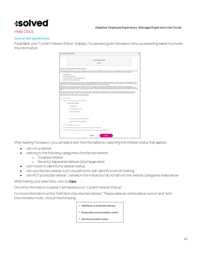#### Adaptive Employee Experience- Manager/Supervisor User Guide

#### **Help Docs**

#### <span id="page-39-0"></span>Veteran Self-Identification

If available, your "Current Veteran Status" displays. You are also given the reason why you are being asked to provide this information.

| Veteran Telf transitioning                                                                                                                                                                                                                                                                                                                                                                                                                                                                                                                                              |  |
|-------------------------------------------------------------------------------------------------------------------------------------------------------------------------------------------------------------------------------------------------------------------------------------------------------------------------------------------------------------------------------------------------------------------------------------------------------------------------------------------------------------------------------------------------------------------------|--|
| <b>Career Volevan states</b>                                                                                                                                                                                                                                                                                                                                                                                                                                                                                                                                            |  |
| <b>Like America</b>                                                                                                                                                                                                                                                                                                                                                                                                                                                                                                                                                     |  |
| Mfry jeer you being reloed to conquerte this form?                                                                                                                                                                                                                                                                                                                                                                                                                                                                                                                      |  |
| Then details on to a Perfect government contractor subject to the "Cablant Mar Titletown" Readjustment Associations that all 197K as accounted by the Joke for Valences Autor (2012) 28<br>U.S.C. AD ET (NE) PREASAL, which requires emailiseers to take affirmative artistics around the absence in amaltament retenants of the information of the information in advantage from independent                                                                                                                                                                           |  |
| 1. Directed Venezue                                                                                                                                                                                                                                                                                                                                                                                                                                                                                                                                                     |  |
| J. Paraimic Goussead Venerer                                                                                                                                                                                                                                                                                                                                                                                                                                                                                                                                            |  |
| 3 - Federal Casta Manitore an Carriganize Washingt Vinterent                                                                                                                                                                                                                                                                                                                                                                                                                                                                                                            |  |
| 4. Annual Forten Sarving Medal Veneral.                                                                                                                                                                                                                                                                                                                                                                                                                                                                                                                                 |  |
| This information to helms, responsed on a volumery heals in with the team confidential species about sour emphases to respirat the provide information of the Office of Fischest Contract<br>Constitutes (OFCEP), stimed thiree-Department of Labor 2.5 Ofc.). Refusal for pinning vice enterrighter will you can calcerate provide the interrighter and this interrighter and that the interrighter and the first of the i<br>part is a manner incorporate will the Patham Die Versions Paul Company, haples and of 1771, as anywhere                                  |  |
| Fronizisal seteram tray have additional rights critic the strikened Senting Engineered and Newsplayment Rights Art (AEDRA) in particular if you were absent from<br>exigitations in price to perform terms of the ordermed service, you may be indirected for reemptived by one weaponed by and environment of the problem you maddle and additional with recommitted<br>contacting throw the shape on dual to continue this issues information, said the U.S. Department of Labor's Vehicles University teams \$1,000 per (NTTE) and from an 1 4000-0 (1000).<br>Erik. |  |
| As a Draw wound contactor subject to VEVRAA, one weather in request to splent a request to the CPCCP child over the division of tenantures belonging in-<br>and concillate protected valuate. Famous P pai, before you having to any of the categories of protected creative, please todiotes by selecting the appropriate test before                                                                                                                                                                                                                                  |  |
| Swiech this surface(a) that spidy to your veheran abstac-                                                                                                                                                                                                                                                                                                                                                                                                                                                                                                               |  |
| ٠<br><b>Expertised a variance</b>                                                                                                                                                                                                                                                                                                                                                                                                                                                                                                                                       |  |
| I kniking the this following, comparison of circlescoal interests                                                                                                                                                                                                                                                                                                                                                                                                                                                                                                       |  |
| Chicago all trat agola                                                                                                                                                                                                                                                                                                                                                                                                                                                                                                                                                  |  |
| <b>Brighted Viewers</b>                                                                                                                                                                                                                                                                                                                                                                                                                                                                                                                                                 |  |
| Includible department amount:                                                                                                                                                                                                                                                                                                                                                                                                                                                                                                                                           |  |
| Military distribution from                                                                                                                                                                                                                                                                                                                                                                                                                                                                                                                                              |  |
|                                                                                                                                                                                                                                                                                                                                                                                                                                                                                                                                                                         |  |
| drolling Plant over 1 (see party) the figure to seem                                                                                                                                                                                                                                                                                                                                                                                                                                                                                                                    |  |
| Brennet Primouse (a) Starrings Mikelini (Erika-ba)                                                                                                                                                                                                                                                                                                                                                                                                                                                                                                                      |  |
| Booth wells do Martillo the vallence stratus.                                                                                                                                                                                                                                                                                                                                                                                                                                                                                                                           |  |
| are a protected subsets. But I distant entity and Martella War campainta to other I halong                                                                                                                                                                                                                                                                                                                                                                                                                                                                              |  |
| and the contracted company. If you not in the Atlinesian do not full because anyone conservational density                                                                                                                                                                                                                                                                                                                                                                                                                                                              |  |
|                                                                                                                                                                                                                                                                                                                                                                                                                                                                                                                                                                         |  |
| CANOEL.<br>GAVIT                                                                                                                                                                                                                                                                                                                                                                                                                                                                                                                                                        |  |
|                                                                                                                                                                                                                                                                                                                                                                                                                                                                                                                                                                         |  |

After reading the reason, you can add or edit the information by selecting the Veteran status that applies:

- I am not a veteran
- I belong to the following categories of protected veteran:
	- o Disabled Veteran
	- o Recently Separated Veteran (discharge date)
- I don't wish to identify my veteran status
- I am a protected veteran, but I choose not to self-identify to which I belong
- I am NOT protected veteran, I served in the military but do not fall into the veteran categories listed above

#### After making your selections, click on Save.

Once the information is saved, it will replace your "Current Veteran Status."

For more information on the "Definition of protected veteran," "Reasonable accommodation notice" and "Anti-Discrimination note," click on the following:

- > Definitions of protected veterans
- > Reasonable accommodation notice
- > Anti-discrimination notice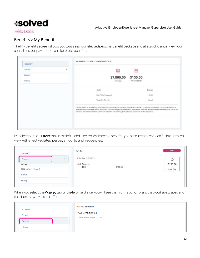![](_page_40_Picture_0.jpeg)

#### **Help Docs**

#### <span id="page-40-0"></span>Benefits > My Benefits

The My Benefits screen allows you to assess your elected personal benefit package and at a quick glance, view your annual and per pay deductions for those benefits.

| Current | 崗                                                                                                                                                                                                                                                                                                                                                                                                                                                                           | 苣               |
|---------|-----------------------------------------------------------------------------------------------------------------------------------------------------------------------------------------------------------------------------------------------------------------------------------------------------------------------------------------------------------------------------------------------------------------------------------------------------------------------------|-----------------|
| Walved  | \$7,800.00                                                                                                                                                                                                                                                                                                                                                                                                                                                                  | \$150.00        |
| History | ANNUALLY                                                                                                                                                                                                                                                                                                                                                                                                                                                                    | PER RAY PERIODA |
|         | 401(b)                                                                                                                                                                                                                                                                                                                                                                                                                                                                      | \$150.00        |
|         | HSA (Other category)                                                                                                                                                                                                                                                                                                                                                                                                                                                        | \$0.00<br>- - - |
|         | Vision Pre-Tax 125                                                                                                                                                                                                                                                                                                                                                                                                                                                          | Walved.         |
|         | *Elected costs is an estimate only. Actual deduction amounts can vary in specific instances. For example, a 3% deferred compensation (i.e., 401k plan) election is<br>projected using your have pay, but the deduction is calculated using actual compenantisn and plan rules. Mans that require Enidence of Insurability (EOI) such as the<br>insurance, reflect the cost of the reguested emount but the deduction may be based on actual coverage until EOI is approved. |                 |

By selecting the Currenttab on the left-hand side, you will see the benefits you are currently enrolled for in a detailed view with effective dates, per pay amounts, and frequencies.

| Summary                 | 401(K)                                             | 401(K)               |
|-------------------------|----------------------------------------------------|----------------------|
| $\checkmark$<br>Current | [편드런다]) - 221 5만 220 - 1540<br>Effective 5/26/2019 | ρ,<br>p <sup>4</sup> |
| 401(k)                  | <b>CO</b> Deductions                               | \$150.00             |
| HSA ('Other' category)  | \$150.00<br>401K                                   | Every Pay            |
| Waived                  |                                                    |                      |
| History                 |                                                    |                      |

When you select the Waived tab on the left-hand side, you will see the information on plans that you have waived and the date the waiver took effect.

| Summary | <b>WAIVED BENEFITS</b>                                  |
|---------|---------------------------------------------------------|
| Current | VISION PRE-TAX 125<br><b>Effective December 1, 2020</b> |
| Waived  |                                                         |
| History |                                                         |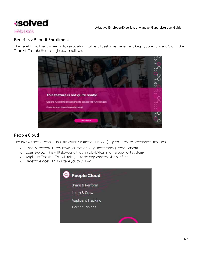![](_page_41_Picture_0.jpeg)

**Help Docs** 

#### <span id="page-41-0"></span>Benefits > Benefit Enrollment

The Benefit Enrollment screen will give you a link into the full desktop experience to begin your enrollment. Click in the Take Me There button to begin your enrollment

![](_page_41_Picture_5.jpeg)

#### <span id="page-41-1"></span>People Cloud

The links within the People Cloud tile will log you in through SSO (single sign on) to other isolved modules:

- o Share & Perform: This will take you to theengagement management platform
- o Learn & Grow: This will take you to theonline LMS (learning management system)
- o Applicant Tracking: This will take you to theapplicant tracking platform
- o Benefit Services: This will take you to COBRA

![](_page_41_Picture_12.jpeg)